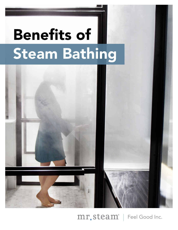# **Benefits of** Steam Bathing



 $mr$ ,  $steam$ <sup>°</sup> | Feel Good Inc.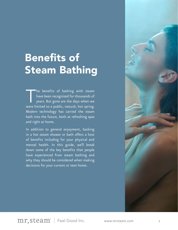## Benefits of Steam Bathing

The benefits of bathing with steam<br>have been recognized for thousands of<br>years. But gone are the days when we have been recognized for thousands of years. But gone are the days when we were limited to a public, natural, hot spring. Modern technology has carried the steam bath into the future, both at refreshing spas and right at home.

In addition to general enjoyment, basking in a hot steam shower or bath offers a host of benefits including for your physical and mental health. In this guide, we'll break down some of the key benefits that people have experienced from steam bathing and why they should be considered when making decisions for your current or next home.



mr. Steam<sup>®</sup> | Feel Good Inc. www.mrsteam.com 2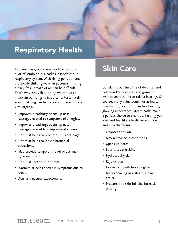

In many ways, our every day lives can put a lot of strain on our bodies, especially our respiratory system. With rising pollution and drastically shifting weather patterns, finding a truly fresh breath of air can be difficult. That's why every little thing we can do to maintain our lungs is important. Fortunately, steam bathing can help clear and renew these vital organs.

- Improves breathing; opens up nasal passages related to symptoms of allergies.
- Improves breathing; opens up nasal passages related to symptoms of viruses.
- Hot mist helps to promote sinus drainage.
- Hot mist helps to loosen bronchial secretions.
- May provide temporary relief of asthmatype symptoms.
- Hot mist soothes the throat.
- Warm mist helps decrease symptoms due to croup.
- Acts as a natural expectorant.

#### Skin Care

Our skin is our first line of defense, and between UV rays, dirt and grime, or even cosmetics, it can take a beating. Of course, many value youth, or at least, maintaining a youthful and/or healthy, glowing appearance. Steam baths make a perfect choice to clean up, helping you look and feel like a healthier you now and into the future.

- Cleanses the skin.
- May relieve acne conditions.
- Opens up pores.
- Lubricates the skin.
- Hydrates dry skin.
- Rejuvenates.
- Leaves skin with healthy glow.
- Makes shaving in a steam shower easier.
- Prepares the skin follicles for easier waxing.

mr.steam<sup>®</sup> | Feel Good Inc. www.mrsteam.com 3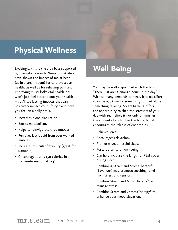#### Physical Wellness

Excitingly, this is the area best supported by scientific research. Numerous studies have shown the impact of moist heat (as in a steam room) for cardiovascular health, as well as for relieving pain and improving musculoskeletal health. You won't just feel better about your health – you'll see lasting impacts that can positively impact your lifestyle and how you feel on a daily basis.

- Increases blood circulation.
- Boosts metabolism.
- Helps to reinvigorate tired muscles.
- Removes lactic acid from over worked muscles.
- Increases muscular flexibility (great for stretching).
- On average, burns 150 calories in a 15-minute session at 114°F.

#### Well Being

You may be well acquainted with the truism, "There just aren't enough hours in the day." With so many demands to meet, it takes effort to carve out time for something fun, let alone something relaxing. Steam bathing offers the opportunity to shed the stressors of your day with real relief; it not only diminishes the amount of cortisol in the body, but it encourages the release of endorphins.

- Relieves stress.
- Encourages relaxation.
- Promotes deep, restful sleep.
- Fosters a sense of well-being.
- Can help increase the length of REM cycles during sleep.
- Combining Steam and AromaTherapy® (Lavender) may promote soothing relief from stress and tension.
- Combine Steam and MusicTherapy® to manage stress.
- Combine Steam and ChromaTherapy® to enhance your mood elevation.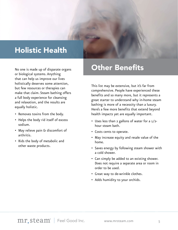#### Holistic Health

or biological systems. Anything that can help us improve our lives holistically deserves some attention, but few resources or therapies can make that claim. Steam bathing offers a full body experience for cleansing and relaxation, and the results are equally holistic.

- Removes toxins from the body.
- Helps the body rid itself of excess sodium.
- May relieve pain & discomfort of arthritis.
- Rids the body of metabolic and other waste products.

#### No one is made up of disparate organs **Other Benefits**

This list may be extensive, but it's far from comprehensive. People have experienced these benefits and so many more, but it represents a great starter to understand why in-home steam bathing is more of a necessity than a luxury. Here's a few more benefits that extend beyond health impacts yet are equally important.

- Uses less than 2 gallons of water for a 1/2 hour steam bath.
- Costs cents to operate.
- May increase equity and resale value of the home.
- Saves energy by following steam shower with a cold shower.
- Can simply be added to an existing shower. Does not require a separate area or room in order to be used.
- Great way to de-wrinkle clothes.
- Adds humidity to your orchids.